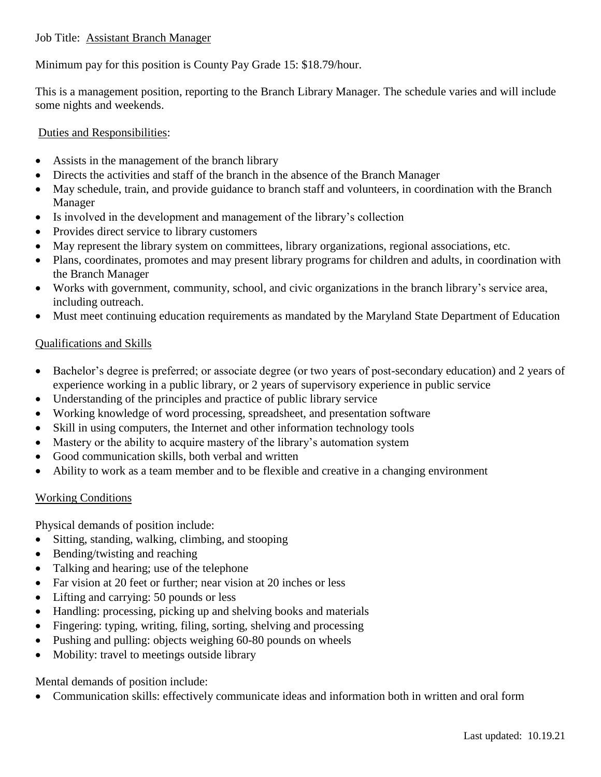## Job Title: Assistant Branch Manager

Minimum pay for this position is County Pay Grade 15: \$18.79/hour.

This is a management position, reporting to the Branch Library Manager. The schedule varies and will include some nights and weekends.

## Duties and Responsibilities:

- Assists in the management of the branch library
- Directs the activities and staff of the branch in the absence of the Branch Manager
- May schedule, train, and provide guidance to branch staff and volunteers, in coordination with the Branch Manager
- Is involved in the development and management of the library's collection
- Provides direct service to library customers
- May represent the library system on committees, library organizations, regional associations, etc.
- Plans, coordinates, promotes and may present library programs for children and adults, in coordination with the Branch Manager
- Works with government, community, school, and civic organizations in the branch library's service area, including outreach.
- Must meet continuing education requirements as mandated by the Maryland State Department of Education

## Qualifications and Skills

- Bachelor's degree is preferred; or associate degree (or two years of post-secondary education) and 2 years of experience working in a public library, or 2 years of supervisory experience in public service
- Understanding of the principles and practice of public library service
- Working knowledge of word processing, spreadsheet, and presentation software
- Skill in using computers, the Internet and other information technology tools
- Mastery or the ability to acquire mastery of the library's automation system
- Good communication skills, both verbal and written
- Ability to work as a team member and to be flexible and creative in a changing environment

## Working Conditions

Physical demands of position include:

- Sitting, standing, walking, climbing, and stooping
- Bending/twisting and reaching
- Talking and hearing; use of the telephone
- Far vision at 20 feet or further; near vision at 20 inches or less
- Lifting and carrying: 50 pounds or less
- Handling: processing, picking up and shelving books and materials
- Fingering: typing, writing, filing, sorting, shelving and processing
- Pushing and pulling: objects weighing 60-80 pounds on wheels
- Mobility: travel to meetings outside library

Mental demands of position include:

Communication skills: effectively communicate ideas and information both in written and oral form